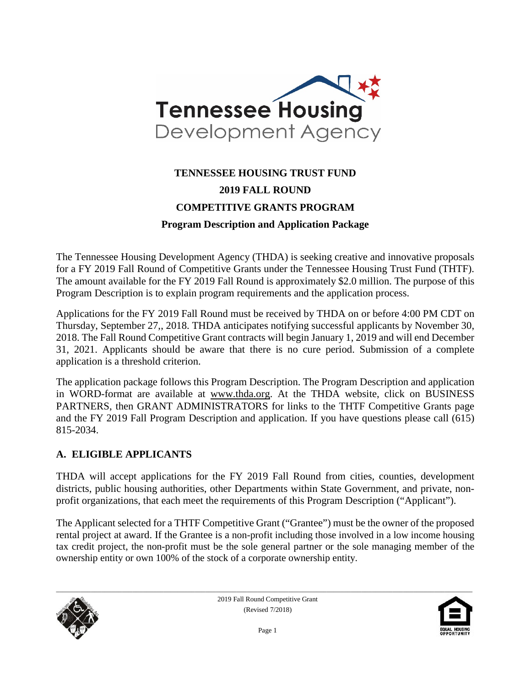

# **TENNESSEE HOUSING TRUST FUND 2019 FALL ROUND COMPETITIVE GRANTS PROGRAM Program Description and Application Package**

The Tennessee Housing Development Agency (THDA) is seeking creative and innovative proposals for a FY 2019 Fall Round of Competitive Grants under the Tennessee Housing Trust Fund (THTF). The amount available for the FY 2019 Fall Round is approximately \$2.0 million. The purpose of this Program Description is to explain program requirements and the application process.

Applications for the FY 2019 Fall Round must be received by THDA on or before 4:00 PM CDT on Thursday, September 27,, 2018. THDA anticipates notifying successful applicants by November 30, 2018. The Fall Round Competitive Grant contracts will begin January 1, 2019 and will end December 31, 2021. Applicants should be aware that there is no cure period. Submission of a complete application is a threshold criterion.

The application package follows this Program Description. The Program Description and application in WORD-format are available at www.thda.org. At the THDA website, click on BUSINESS PARTNERS, then GRANT ADMINISTRATORS for links to the THTF Competitive Grants page and the FY 2019 Fall Program Description and application. If you have questions please call (615) 815-2034.

#### **A. ELIGIBLE APPLICANTS**

THDA will accept applications for the FY 2019 Fall Round from cities, counties, development districts, public housing authorities, other Departments within State Government, and private, nonprofit organizations, that each meet the requirements of this Program Description ("Applicant").

The Applicant selected for a THTF Competitive Grant ("Grantee") must be the owner of the proposed rental project at award. If the Grantee is a non-profit including those involved in a low income housing tax credit project, the non-profit must be the sole general partner or the sole managing member of the ownership entity or own 100% of the stock of a corporate ownership entity.



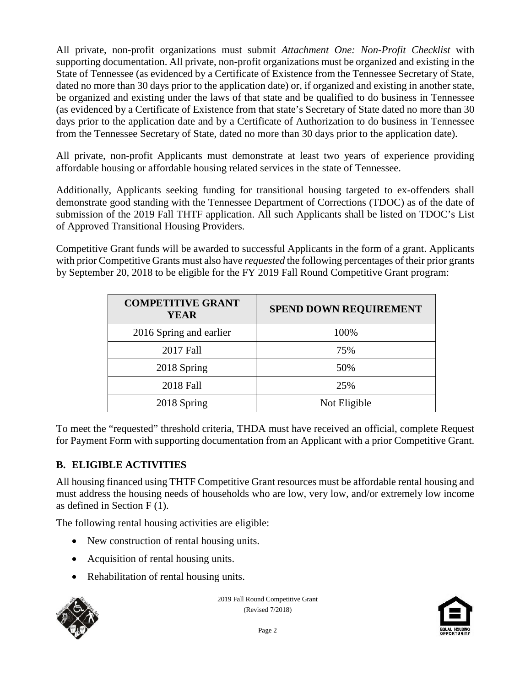All private, non-profit organizations must submit *Attachment One: Non-Profit Checklist* with supporting documentation. All private, non-profit organizations must be organized and existing in the State of Tennessee (as evidenced by a Certificate of Existence from the Tennessee Secretary of State, dated no more than 30 days prior to the application date) or, if organized and existing in another state, be organized and existing under the laws of that state and be qualified to do business in Tennessee (as evidenced by a Certificate of Existence from that state's Secretary of State dated no more than 30 days prior to the application date and by a Certificate of Authorization to do business in Tennessee from the Tennessee Secretary of State, dated no more than 30 days prior to the application date).

All private, non-profit Applicants must demonstrate at least two years of experience providing affordable housing or affordable housing related services in the state of Tennessee.

Additionally, Applicants seeking funding for transitional housing targeted to ex-offenders shall demonstrate good standing with the Tennessee Department of Corrections (TDOC) as of the date of submission of the 2019 Fall THTF application. All such Applicants shall be listed on TDOC's List of Approved Transitional Housing Providers.

Competitive Grant funds will be awarded to successful Applicants in the form of a grant. Applicants with prior Competitive Grants must also have *requested* the following percentages of their prior grants by September 20, 2018 to be eligible for the FY 2019 Fall Round Competitive Grant program:

| <b>COMPETITIVE GRANT</b><br>YEAR | <b>SPEND DOWN REQUIREMENT</b> |
|----------------------------------|-------------------------------|
| 2016 Spring and earlier          | 100%                          |
| 2017 Fall                        | 75%                           |
| 2018 Spring                      | 50%                           |
| 2018 Fall                        | 25%                           |
| 2018 Spring                      | Not Eligible                  |

To meet the "requested" threshold criteria, THDA must have received an official, complete Request for Payment Form with supporting documentation from an Applicant with a prior Competitive Grant.

# **B. ELIGIBLE ACTIVITIES**

All housing financed using THTF Competitive Grant resources must be affordable rental housing and must address the housing needs of households who are low, very low, and/or extremely low income as defined in Section F (1).

The following rental housing activities are eligible:

- New construction of rental housing units.
- Acquisition of rental housing units.
- Rehabilitation of rental housing units.



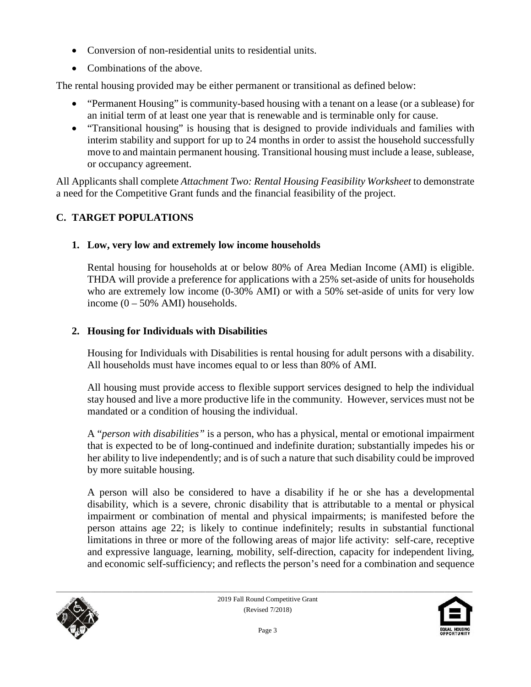- Conversion of non-residential units to residential units.
- Combinations of the above.

The rental housing provided may be either permanent or transitional as defined below:

- "Permanent Housing" is community-based housing with a tenant on a lease (or a sublease) for an initial term of at least one year that is renewable and is terminable only for cause.
- "Transitional housing" is housing that is designed to provide individuals and families with interim stability and support for up to 24 months in order to assist the household successfully move to and maintain permanent housing. Transitional housing must include a lease, sublease, or occupancy agreement.

All Applicants shall complete *Attachment Two: Rental Housing Feasibility Worksheet* to demonstrate a need for the Competitive Grant funds and the financial feasibility of the project.

# **C. TARGET POPULATIONS**

# **1. Low, very low and extremely low income households**

Rental housing for households at or below 80% of Area Median Income (AMI) is eligible. THDA will provide a preference for applications with a 25% set-aside of units for households who are extremely low income (0-30% AMI) or with a 50% set-aside of units for very low income  $(0 - 50\%$  AMI) households.

# **2. Housing for Individuals with Disabilities**

Housing for Individuals with Disabilities is rental housing for adult persons with a disability. All households must have incomes equal to or less than 80% of AMI.

All housing must provide access to flexible support services designed to help the individual stay housed and live a more productive life in the community. However, services must not be mandated or a condition of housing the individual.

A "*person with disabilities"* is a person, who has a physical, mental or emotional impairment that is expected to be of long-continued and indefinite duration; substantially impedes his or her ability to live independently; and is of such a nature that such disability could be improved by more suitable housing.

A person will also be considered to have a disability if he or she has a developmental disability, which is a severe, chronic disability that is attributable to a mental or physical impairment or combination of mental and physical impairments; is manifested before the person attains age 22; is likely to continue indefinitely; results in substantial functional limitations in three or more of the following areas of major life activity: self-care, receptive and expressive language, learning, mobility, self-direction, capacity for independent living, and economic self-sufficiency; and reflects the person's need for a combination and sequence



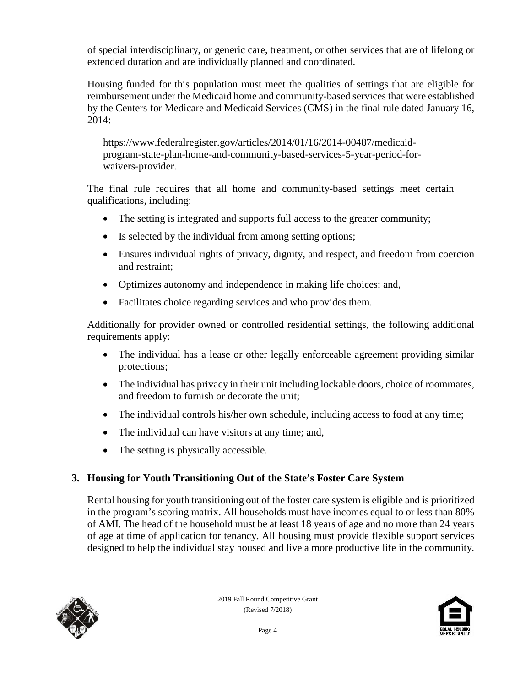of special interdisciplinary, or generic care, treatment, or other services that are of lifelong or extended duration and are individually planned and coordinated.

Housing funded for this population must meet the qualities of settings that are eligible for reimbursement under the Medicaid home and community-based services that were established by the Centers for Medicare and Medicaid Services (CMS) in the final rule dated January 16, 2014:

[https://www.federalregister.gov/articles/2014/01/16/2014-00487/medicaid](https://www.federalregister.gov/articles/2014/01/16/2014-00487/medicaid-program-state-plan-home-and-community-based-services-5-year-period-for-waivers-provider)[program-state-plan-home-and-community-based-services-5-year-period-for](https://www.federalregister.gov/articles/2014/01/16/2014-00487/medicaid-program-state-plan-home-and-community-based-services-5-year-period-for-waivers-provider)[waivers-provider.](https://www.federalregister.gov/articles/2014/01/16/2014-00487/medicaid-program-state-plan-home-and-community-based-services-5-year-period-for-waivers-provider)

The final rule requires that all home and community-based settings meet certain qualifications, including:

- The setting is integrated and supports full access to the greater community;
- Is selected by the individual from among setting options;
- Ensures individual rights of privacy, dignity, and respect, and freedom from coercion and restraint;
- Optimizes autonomy and independence in making life choices; and,
- Facilitates choice regarding services and who provides them.

Additionally for provider owned or controlled residential settings, the following additional requirements apply:

- The individual has a lease or other legally enforceable agreement providing similar protections;
- The individual has privacy in their unit including lockable doors, choice of roommates, and freedom to furnish or decorate the unit;
- The individual controls his/her own schedule, including access to food at any time;
- The individual can have visitors at any time; and,
- The setting is physically accessible.

# **3. Housing for Youth Transitioning Out of the State's Foster Care System**

Rental housing for youth transitioning out of the foster care system is eligible and is prioritized in the program's scoring matrix. All households must have incomes equal to or less than 80% of AMI. The head of the household must be at least 18 years of age and no more than 24 years of age at time of application for tenancy. All housing must provide flexible support services designed to help the individual stay housed and live a more productive life in the community.



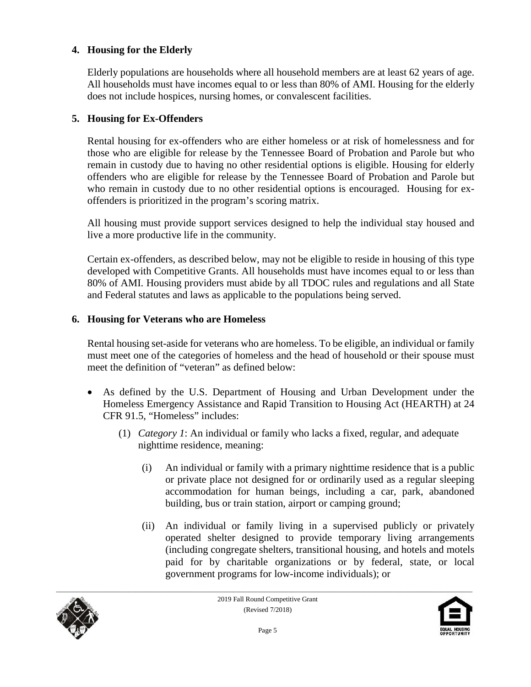#### **4. Housing for the Elderly**

Elderly populations are households where all household members are at least 62 years of age. All households must have incomes equal to or less than 80% of AMI. Housing for the elderly does not include hospices, nursing homes, or convalescent facilities.

#### **5. Housing for Ex-Offenders**

Rental housing for ex-offenders who are either homeless or at risk of homelessness and for those who are eligible for release by the Tennessee Board of Probation and Parole but who remain in custody due to having no other residential options is eligible. Housing for elderly offenders who are eligible for release by the Tennessee Board of Probation and Parole but who remain in custody due to no other residential options is encouraged. Housing for exoffenders is prioritized in the program's scoring matrix.

All housing must provide support services designed to help the individual stay housed and live a more productive life in the community.

Certain ex-offenders, as described below, may not be eligible to reside in housing of this type developed with Competitive Grants. All households must have incomes equal to or less than 80% of AMI. Housing providers must abide by all TDOC rules and regulations and all State and Federal statutes and laws as applicable to the populations being served.

#### **6. Housing for Veterans who are Homeless**

Rental housing set-aside for veterans who are homeless. To be eligible, an individual or family must meet one of the categories of homeless and the head of household or their spouse must meet the definition of "veteran" as defined below:

- As defined by the U.S. Department of Housing and Urban Development under the Homeless Emergency Assistance and Rapid Transition to Housing Act (HEARTH) at 24 CFR 91.5, "Homeless" includes:
	- (1) *Category 1*: An individual or family who lacks a fixed, regular, and adequate nighttime residence, meaning:
		- (i) An individual or family with a primary nighttime residence that is a public or private place not designed for or ordinarily used as a regular sleeping accommodation for human beings, including a car, park, abandoned building, bus or train station, airport or camping ground;
		- (ii) An individual or family living in a supervised publicly or privately operated shelter designed to provide temporary living arrangements (including congregate shelters, transitional housing, and hotels and motels paid for by charitable organizations or by federal, state, or local government programs for low-income individuals); or



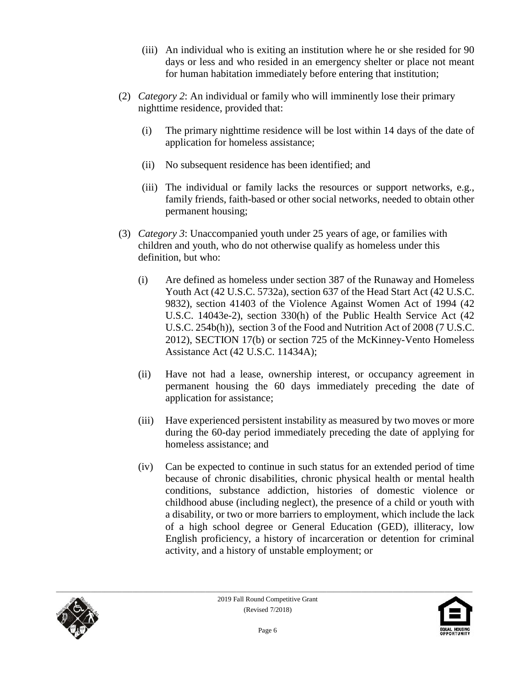- (iii) An individual who is exiting an institution where he or she resided for 90 days or less and who resided in an emergency shelter or place not meant for human habitation immediately before entering that institution;
- (2) *Category 2*: An individual or family who will imminently lose their primary nighttime residence, provided that:
	- (i) The primary nighttime residence will be lost within 14 days of the date of application for homeless assistance;
	- (ii) No subsequent residence has been identified; and
	- (iii) The individual or family lacks the resources or support networks, e.g., family friends, faith-based or other social networks, needed to obtain other permanent housing;
- (3) *Category 3*: Unaccompanied youth under 25 years of age, or families with children and youth, who do not otherwise qualify as homeless under this definition, but who:
	- (i) Are defined as homeless under section 387 of the Runaway and Homeless Youth Act (42 U.S.C. 5732a), section 637 of the Head Start Act (42 U.S.C. 9832), section 41403 of the Violence Against Women Act of 1994 (42 U.S.C. 14043e-2), section 330(h) of the Public Health Service Act (42 U.S.C. 254b(h)), section 3 of the Food and Nutrition Act of 2008 (7 U.S.C. 2012), SECTION 17(b) or section 725 of the McKinney-Vento Homeless Assistance Act (42 U.S.C. 11434A);
	- (ii) Have not had a lease, ownership interest, or occupancy agreement in permanent housing the 60 days immediately preceding the date of application for assistance;
	- (iii) Have experienced persistent instability as measured by two moves or more during the 60-day period immediately preceding the date of applying for homeless assistance; and
	- (iv) Can be expected to continue in such status for an extended period of time because of chronic disabilities, chronic physical health or mental health conditions, substance addiction, histories of domestic violence or childhood abuse (including neglect), the presence of a child or youth with a disability, or two or more barriers to employment, which include the lack of a high school degree or General Education (GED), illiteracy, low English proficiency, a history of incarceration or detention for criminal activity, and a history of unstable employment; or



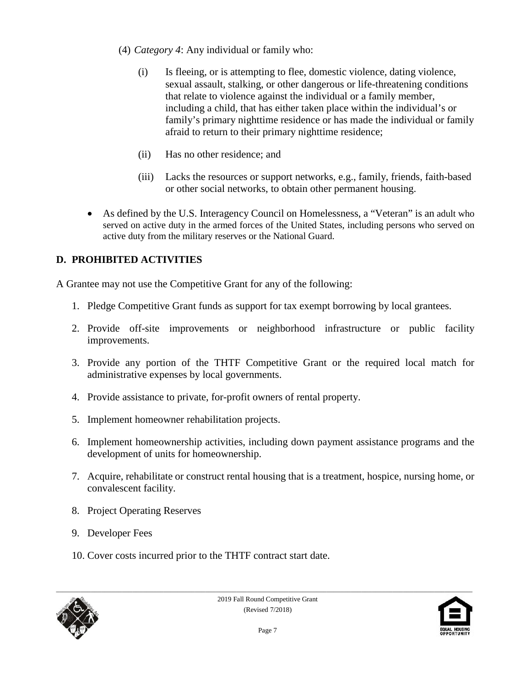- (4) *Category 4*: Any individual or family who:
	- (i) Is fleeing, or is attempting to flee, domestic violence, dating violence, sexual assault, stalking, or other dangerous or life-threatening conditions that relate to violence against the individual or a family member, including a child, that has either taken place within the individual's or family's primary nighttime residence or has made the individual or family afraid to return to their primary nighttime residence;
	- (ii) Has no other residence; and
	- (iii) Lacks the resources or support networks, e.g., family, friends, faith-based or other social networks, to obtain other permanent housing.
- As defined by the U.S. Interagency Council on Homelessness, a "Veteran" is an adult who served on active duty in the armed forces of the United States, including persons who served on active duty from the military reserves or the National Guard.

# **D. PROHIBITED ACTIVITIES**

A Grantee may not use the Competitive Grant for any of the following:

- 1. Pledge Competitive Grant funds as support for tax exempt borrowing by local grantees.
- 2. Provide off-site improvements or neighborhood infrastructure or public facility improvements.
- 3. Provide any portion of the THTF Competitive Grant or the required local match for administrative expenses by local governments.
- 4. Provide assistance to private, for-profit owners of rental property.
- 5. Implement homeowner rehabilitation projects.
- 6. Implement homeownership activities, including down payment assistance programs and the development of units for homeownership.
- 7. Acquire, rehabilitate or construct rental housing that is a treatment, hospice, nursing home, or convalescent facility.
- 8. Project Operating Reserves
- 9. Developer Fees
- 10. Cover costs incurred prior to the THTF contract start date.



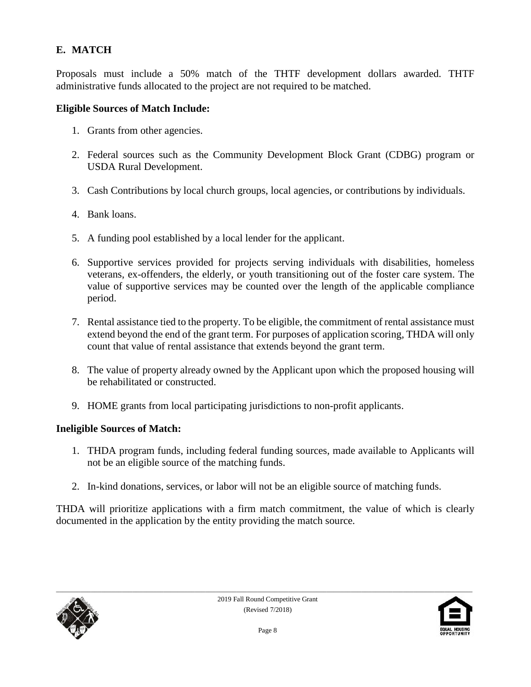# **E. MATCH**

Proposals must include a 50% match of the THTF development dollars awarded. THTF administrative funds allocated to the project are not required to be matched.

#### **Eligible Sources of Match Include:**

- 1. Grants from other agencies.
- 2. Federal sources such as the Community Development Block Grant (CDBG) program or USDA Rural Development.
- 3. Cash Contributions by local church groups, local agencies, or contributions by individuals.
- 4. Bank loans.
- 5. A funding pool established by a local lender for the applicant.
- 6. Supportive services provided for projects serving individuals with disabilities, homeless veterans, ex-offenders, the elderly, or youth transitioning out of the foster care system. The value of supportive services may be counted over the length of the applicable compliance period.
- 7. Rental assistance tied to the property. To be eligible, the commitment of rental assistance must extend beyond the end of the grant term. For purposes of application scoring, THDA will only count that value of rental assistance that extends beyond the grant term.
- 8. The value of property already owned by the Applicant upon which the proposed housing will be rehabilitated or constructed.
- 9. HOME grants from local participating jurisdictions to non-profit applicants.

#### **Ineligible Sources of Match:**

- 1. THDA program funds, including federal funding sources, made available to Applicants will not be an eligible source of the matching funds.
- 2. In-kind donations, services, or labor will not be an eligible source of matching funds.

THDA will prioritize applications with a firm match commitment, the value of which is clearly documented in the application by the entity providing the match source.



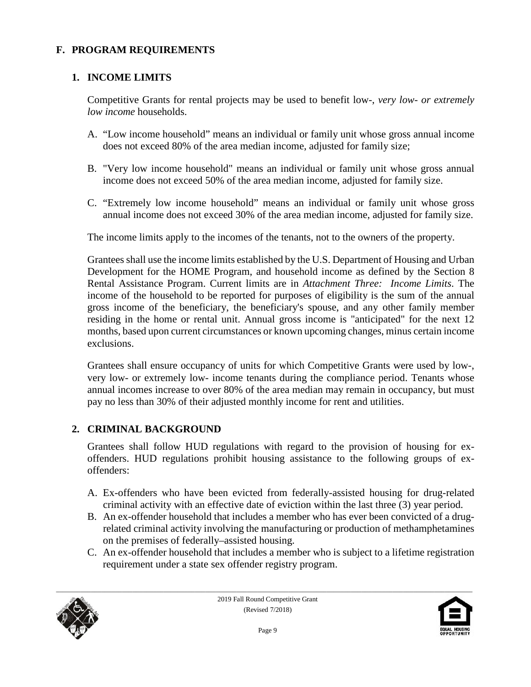### **F. PROGRAM REQUIREMENTS**

#### **1. INCOME LIMITS**

Competitive Grants for rental projects may be used to benefit low-, *very low- or extremely low income* households.

- A. "Low income household" means an individual or family unit whose gross annual income does not exceed 80% of the area median income, adjusted for family size;
- B. "Very low income household" means an individual or family unit whose gross annual income does not exceed 50% of the area median income, adjusted for family size.
- C. "Extremely low income household" means an individual or family unit whose gross annual income does not exceed 30% of the area median income, adjusted for family size.

The income limits apply to the incomes of the tenants, not to the owners of the property.

Grantees shall use the income limits established by the U.S. Department of Housing and Urban Development for the HOME Program, and household income as defined by the Section 8 Rental Assistance Program. Current limits are in *Attachment Three: Income Limits*. The income of the household to be reported for purposes of eligibility is the sum of the annual gross income of the beneficiary, the beneficiary's spouse, and any other family member residing in the home or rental unit. Annual gross income is "anticipated" for the next 12 months, based upon current circumstances or known upcoming changes, minus certain income exclusions.

Grantees shall ensure occupancy of units for which Competitive Grants were used by low-, very low- or extremely low- income tenants during the compliance period. Tenants whose annual incomes increase to over 80% of the area median may remain in occupancy, but must pay no less than 30% of their adjusted monthly income for rent and utilities.

#### **2. CRIMINAL BACKGROUND**

Grantees shall follow HUD regulations with regard to the provision of housing for exoffenders. HUD regulations prohibit housing assistance to the following groups of exoffenders:

- A. Ex-offenders who have been evicted from federally-assisted housing for drug-related criminal activity with an effective date of eviction within the last three (3) year period.
- B. An ex-offender household that includes a member who has ever been convicted of a drugrelated criminal activity involving the manufacturing or production of methamphetamines on the premises of federally–assisted housing.
- C. An ex-offender household that includes a member who is subject to a lifetime registration requirement under a state sex offender registry program.



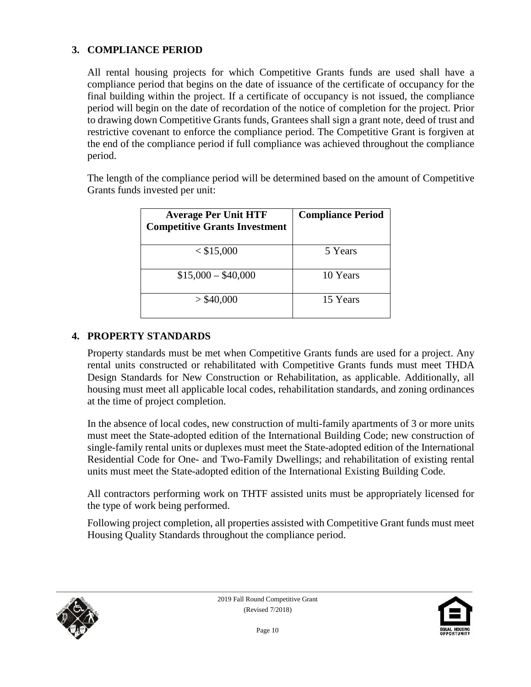### **3. COMPLIANCE PERIOD**

All rental housing projects for which Competitive Grants funds are used shall have a compliance period that begins on the date of issuance of the certificate of occupancy for the final building within the project. If a certificate of occupancy is not issued, the compliance period will begin on the date of recordation of the notice of completion for the project. Prior to drawing down Competitive Grants funds, Grantees shall sign a grant note, deed of trust and restrictive covenant to enforce the compliance period. The Competitive Grant is forgiven at the end of the compliance period if full compliance was achieved throughout the compliance period.

The length of the compliance period will be determined based on the amount of Competitive Grants funds invested per unit:

| <b>Average Per Unit HTF</b><br><b>Competitive Grants Investment</b> | <b>Compliance Period</b> |
|---------------------------------------------------------------------|--------------------------|
| $<$ \$15,000                                                        | 5 Years                  |
| $$15,000 - $40,000$                                                 | 10 Years                 |
| $>$ \$40,000                                                        | 15 Years                 |

#### **4. PROPERTY STANDARDS**

Property standards must be met when Competitive Grants funds are used for a project. Any rental units constructed or rehabilitated with Competitive Grants funds must meet THDA Design Standards for New Construction or Rehabilitation, as applicable. Additionally, all housing must meet all applicable local codes, rehabilitation standards, and zoning ordinances at the time of project completion.

In the absence of local codes, new construction of multi-family apartments of 3 or more units must meet the State-adopted edition of the International Building Code; new construction of single-family rental units or duplexes must meet the State-adopted edition of the International Residential Code for One- and Two-Family Dwellings; and rehabilitation of existing rental units must meet the State-adopted edition of the International Existing Building Code.

All contractors performing work on THTF assisted units must be appropriately licensed for the type of work being performed.

Following project completion, all properties assisted with Competitive Grant funds must meet Housing Quality Standards throughout the compliance period.



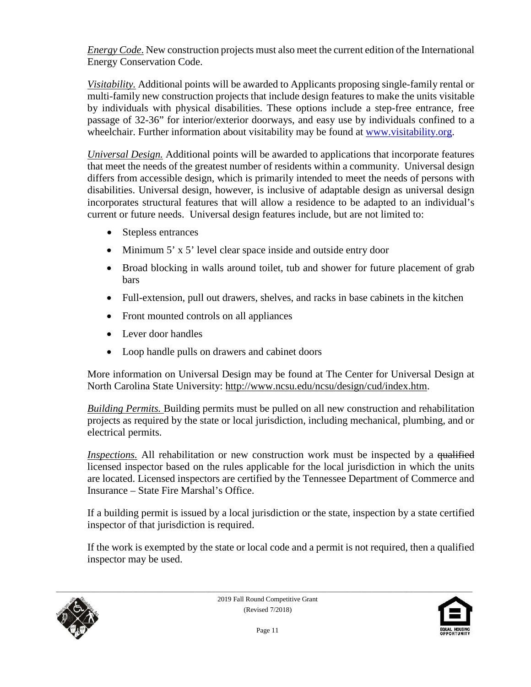*Energy Code*. New construction projects must also meet the current edition of the International Energy Conservation Code.

*Visitability.* Additional points will be awarded to Applicants proposing single-family rental or multi-family new construction projects that include design features to make the units visitable by individuals with physical disabilities. These options include a step-free entrance, free passage of 32-36" for interior/exterior doorways, and easy use by individuals confined to a wheelchair. Further information about visitability may be found at [www.visitability.org.](http://www.visitability.org/)

*Universal Design.* Additional points will be awarded to applications that incorporate features that meet the needs of the greatest number of residents within a community. Universal design differs from accessible design, which is primarily intended to meet the needs of persons with disabilities. Universal design, however, is inclusive of adaptable design as universal design incorporates structural features that will allow a residence to be adapted to an individual's current or future needs. Universal design features include, but are not limited to:

- Stepless entrances
- Minimum 5' x 5' level clear space inside and outside entry door
- Broad blocking in walls around toilet, tub and shower for future placement of grab bars
- Full-extension, pull out drawers, shelves, and racks in base cabinets in the kitchen
- Front mounted controls on all appliances
- Lever door handles
- Loop handle pulls on drawers and cabinet doors

More information on Universal Design may be found at The Center for Universal Design at North Carolina State University: [http://www.ncsu.edu/ncsu/design/cud/index.htm.](http://www.ncsu.edu/ncsu/design/cud/index.htm)

*Building Permits.* Building permits must be pulled on all new construction and rehabilitation projects as required by the state or local jurisdiction, including mechanical, plumbing, and or electrical permits.

*Inspections.* All rehabilitation or new construction work must be inspected by a qualified licensed inspector based on the rules applicable for the local jurisdiction in which the units are located. Licensed inspectors are certified by the Tennessee Department of Commerce and Insurance – State Fire Marshal's Office.

If a building permit is issued by a local jurisdiction or the state, inspection by a state certified inspector of that jurisdiction is required.

If the work is exempted by the state or local code and a permit is not required, then a qualified inspector may be used.



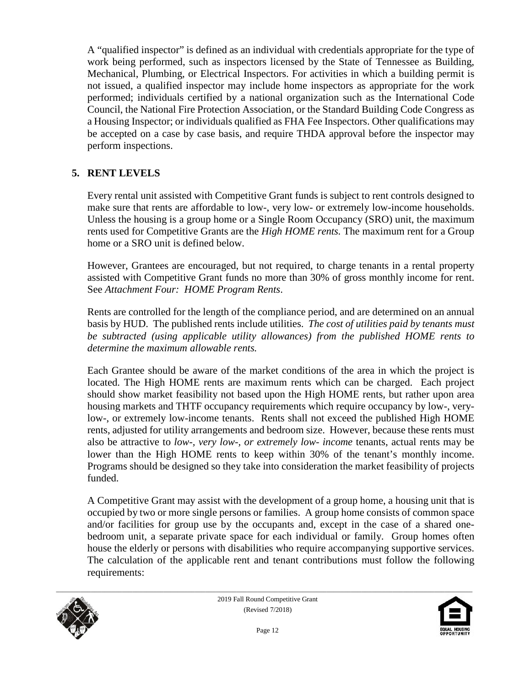A "qualified inspector" is defined as an individual with credentials appropriate for the type of work being performed, such as inspectors licensed by the State of Tennessee as Building, Mechanical, Plumbing, or Electrical Inspectors. For activities in which a building permit is not issued, a qualified inspector may include home inspectors as appropriate for the work performed; individuals certified by a national organization such as the International Code Council, the National Fire Protection Association, or the Standard Building Code Congress as a Housing Inspector; or individuals qualified as FHA Fee Inspectors. Other qualifications may be accepted on a case by case basis, and require THDA approval before the inspector may perform inspections.

#### **5. RENT LEVELS**

Every rental unit assisted with Competitive Grant funds is subject to rent controls designed to make sure that rents are affordable to low-, very low- or extremely low-income households. Unless the housing is a group home or a Single Room Occupancy (SRO) unit, the maximum rents used for Competitive Grants are the *High HOME rents.* The maximum rent for a Group home or a SRO unit is defined below.

However, Grantees are encouraged, but not required, to charge tenants in a rental property assisted with Competitive Grant funds no more than 30% of gross monthly income for rent. See *Attachment Four: HOME Program Rents*.

Rents are controlled for the length of the compliance period, and are determined on an annual basis by HUD. The published rents include utilities. *The cost of utilities paid by tenants must be subtracted (using applicable utility allowances) from the published HOME rents to determine the maximum allowable rents.*

Each Grantee should be aware of the market conditions of the area in which the project is located. The High HOME rents are maximum rents which can be charged. Each project should show market feasibility not based upon the High HOME rents, but rather upon area housing markets and THTF occupancy requirements which require occupancy by low-, verylow-, or extremely low-income tenants. Rents shall not exceed the published High HOME rents, adjusted for utility arrangements and bedroom size. However, because these rents must also be attractive to *low-, very low-, or extremely low- income* tenants, actual rents may be lower than the High HOME rents to keep within 30% of the tenant's monthly income. Programs should be designed so they take into consideration the market feasibility of projects funded.

A Competitive Grant may assist with the development of a group home, a housing unit that is occupied by two or more single persons or families. A group home consists of common space and/or facilities for group use by the occupants and, except in the case of a shared onebedroom unit, a separate private space for each individual or family. Group homes often house the elderly or persons with disabilities who require accompanying supportive services. The calculation of the applicable rent and tenant contributions must follow the following requirements:



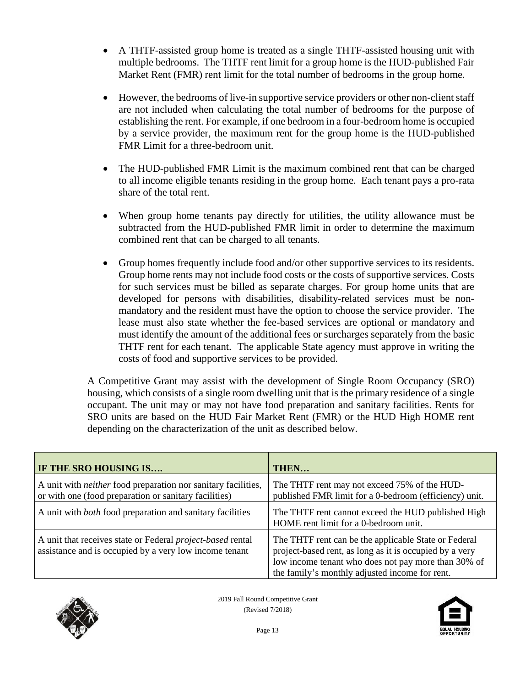- A THTF-assisted group home is treated as a single THTF-assisted housing unit with multiple bedrooms. The THTF rent limit for a group home is the HUD-published Fair Market Rent (FMR) rent limit for the total number of bedrooms in the group home.
- However, the bedrooms of live-in supportive service providers or other non-client staff are not included when calculating the total number of bedrooms for the purpose of establishing the rent. For example, if one bedroom in a four-bedroom home is occupied by a service provider, the maximum rent for the group home is the HUD-published FMR Limit for a three-bedroom unit.
- The HUD-published FMR Limit is the maximum combined rent that can be charged to all income eligible tenants residing in the group home. Each tenant pays a pro-rata share of the total rent.
- When group home tenants pay directly for utilities, the utility allowance must be subtracted from the HUD-published FMR limit in order to determine the maximum combined rent that can be charged to all tenants.
- Group homes frequently include food and/or other supportive services to its residents. Group home rents may not include food costs or the costs of supportive services. Costs for such services must be billed as separate charges. For group home units that are developed for persons with disabilities, disability-related services must be nonmandatory and the resident must have the option to choose the service provider. The lease must also state whether the fee-based services are optional or mandatory and must identify the amount of the additional fees or surcharges separately from the basic THTF rent for each tenant. The applicable State agency must approve in writing the costs of food and supportive services to be provided.

A Competitive Grant may assist with the development of Single Room Occupancy (SRO) housing, which consists of a single room dwelling unit that is the primary residence of a single occupant. The unit may or may not have food preparation and sanitary facilities. Rents for SRO units are based on the HUD Fair Market Rent (FMR) or the HUD High HOME rent depending on the characterization of the unit as described below.

| IF THE SRO HOUSING IS                                                                                                         | THEN                                                                                                                                                                                                                     |
|-------------------------------------------------------------------------------------------------------------------------------|--------------------------------------------------------------------------------------------------------------------------------------------------------------------------------------------------------------------------|
| A unit with <i>neither</i> food preparation nor sanitary facilities,<br>or with one (food preparation or sanitary facilities) | The THTF rent may not exceed 75% of the HUD-<br>published FMR limit for a 0-bedroom (efficiency) unit.                                                                                                                   |
| A unit with <i>both</i> food preparation and sanitary facilities                                                              | The THTF rent cannot exceed the HUD published High<br>HOME rent limit for a 0-bedroom unit.                                                                                                                              |
| A unit that receives state or Federal <i>project-based</i> rental<br>assistance and is occupied by a very low income tenant   | The THTF rent can be the applicable State or Federal<br>project-based rent, as long as it is occupied by a very<br>low income tenant who does not pay more than 30% of<br>the family's monthly adjusted income for rent. |



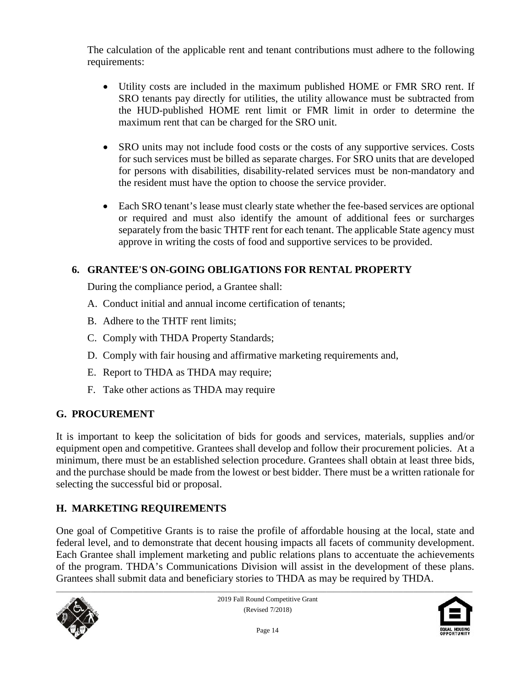The calculation of the applicable rent and tenant contributions must adhere to the following requirements:

- Utility costs are included in the maximum published HOME or FMR SRO rent. If SRO tenants pay directly for utilities, the utility allowance must be subtracted from the HUD-published HOME rent limit or FMR limit in order to determine the maximum rent that can be charged for the SRO unit.
- SRO units may not include food costs or the costs of any supportive services. Costs for such services must be billed as separate charges. For SRO units that are developed for persons with disabilities, disability-related services must be non-mandatory and the resident must have the option to choose the service provider.
- Each SRO tenant's lease must clearly state whether the fee-based services are optional or required and must also identify the amount of additional fees or surcharges separately from the basic THTF rent for each tenant. The applicable State agency must approve in writing the costs of food and supportive services to be provided.

# **6. GRANTEE'S ON-GOING OBLIGATIONS FOR RENTAL PROPERTY**

During the compliance period, a Grantee shall:

- A. Conduct initial and annual income certification of tenants;
- B. Adhere to the THTF rent limits;
- C. Comply with THDA Property Standards;
- D. Comply with fair housing and affirmative marketing requirements and,
- E. Report to THDA as THDA may require;
- F. Take other actions as THDA may require

# **G. PROCUREMENT**

It is important to keep the solicitation of bids for goods and services, materials, supplies and/or equipment open and competitive. Grantees shall develop and follow their procurement policies. At a minimum, there must be an established selection procedure. Grantees shall obtain at least three bids, and the purchase should be made from the lowest or best bidder. There must be a written rationale for selecting the successful bid or proposal.

# **H. MARKETING REQUIREMENTS**

One goal of Competitive Grants is to raise the profile of affordable housing at the local, state and federal level, and to demonstrate that decent housing impacts all facets of community development. Each Grantee shall implement marketing and public relations plans to accentuate the achievements of the program. THDA's Communications Division will assist in the development of these plans. Grantees shall submit data and beneficiary stories to THDA as may be required by THDA.



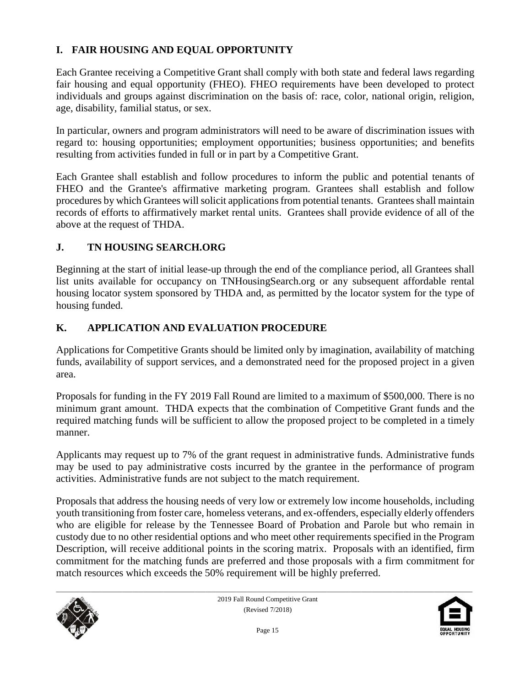# **I. FAIR HOUSING AND EQUAL OPPORTUNITY**

Each Grantee receiving a Competitive Grant shall comply with both state and federal laws regarding fair housing and equal opportunity (FHEO). FHEO requirements have been developed to protect individuals and groups against discrimination on the basis of: race, color, national origin, religion, age, disability, familial status, or sex.

In particular, owners and program administrators will need to be aware of discrimination issues with regard to: housing opportunities; employment opportunities; business opportunities; and benefits resulting from activities funded in full or in part by a Competitive Grant.

Each Grantee shall establish and follow procedures to inform the public and potential tenants of FHEO and the Grantee's affirmative marketing program. Grantees shall establish and follow procedures by which Grantees will solicit applications from potential tenants. Grantees shall maintain records of efforts to affirmatively market rental units. Grantees shall provide evidence of all of the above at the request of THDA.

#### **J. TN HOUSING SEARCH.ORG**

Beginning at the start of initial lease-up through the end of the compliance period, all Grantees shall list units available for occupancy on TNHousingSearch.org or any subsequent affordable rental housing locator system sponsored by THDA and, as permitted by the locator system for the type of housing funded.

#### **K. APPLICATION AND EVALUATION PROCEDURE**

Applications for Competitive Grants should be limited only by imagination, availability of matching funds, availability of support services, and a demonstrated need for the proposed project in a given area.

Proposals for funding in the FY 2019 Fall Round are limited to a maximum of \$500,000. There is no minimum grant amount. THDA expects that the combination of Competitive Grant funds and the required matching funds will be sufficient to allow the proposed project to be completed in a timely manner.

Applicants may request up to 7% of the grant request in administrative funds. Administrative funds may be used to pay administrative costs incurred by the grantee in the performance of program activities. Administrative funds are not subject to the match requirement.

Proposals that address the housing needs of very low or extremely low income households, including youth transitioning from foster care, homeless veterans, and ex-offenders, especially elderly offenders who are eligible for release by the Tennessee Board of Probation and Parole but who remain in custody due to no other residential options and who meet other requirements specified in the Program Description, will receive additional points in the scoring matrix. Proposals with an identified, firm commitment for the matching funds are preferred and those proposals with a firm commitment for match resources which exceeds the 50% requirement will be highly preferred.



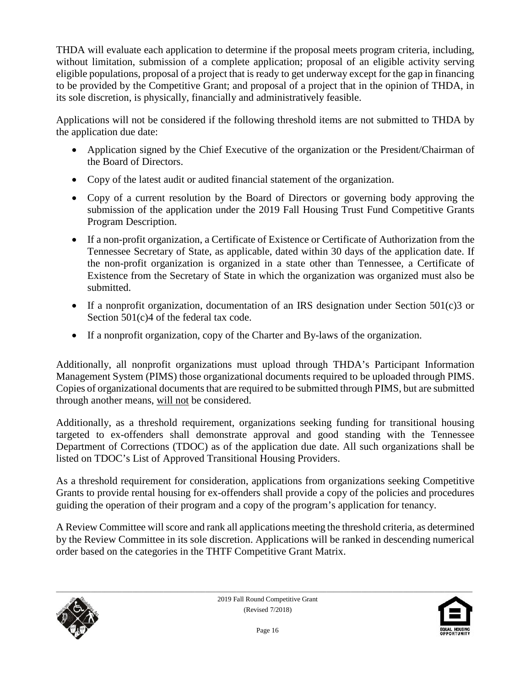THDA will evaluate each application to determine if the proposal meets program criteria, including, without limitation, submission of a complete application; proposal of an eligible activity serving eligible populations, proposal of a project that is ready to get underway except for the gap in financing to be provided by the Competitive Grant; and proposal of a project that in the opinion of THDA, in its sole discretion, is physically, financially and administratively feasible.

Applications will not be considered if the following threshold items are not submitted to THDA by the application due date:

- Application signed by the Chief Executive of the organization or the President/Chairman of the Board of Directors.
- Copy of the latest audit or audited financial statement of the organization.
- Copy of a current resolution by the Board of Directors or governing body approving the submission of the application under the 2019 Fall Housing Trust Fund Competitive Grants Program Description.
- If a non-profit organization, a Certificate of Existence or Certificate of Authorization from the Tennessee Secretary of State, as applicable, dated within 30 days of the application date. If the non-profit organization is organized in a state other than Tennessee, a Certificate of Existence from the Secretary of State in which the organization was organized must also be submitted.
- If a nonprofit organization, documentation of an IRS designation under Section 501(c)3 or Section 501(c)4 of the federal tax code.
- If a nonprofit organization, copy of the Charter and By-laws of the organization.

Additionally, all nonprofit organizations must upload through THDA's Participant Information Management System (PIMS) those organizational documents required to be uploaded through PIMS. Copies of organizational documents that are required to be submitted through PIMS, but are submitted through another means, will not be considered.

Additionally, as a threshold requirement, organizations seeking funding for transitional housing targeted to ex-offenders shall demonstrate approval and good standing with the Tennessee Department of Corrections (TDOC) as of the application due date. All such organizations shall be listed on TDOC's List of Approved Transitional Housing Providers.

As a threshold requirement for consideration, applications from organizations seeking Competitive Grants to provide rental housing for ex-offenders shall provide a copy of the policies and procedures guiding the operation of their program and a copy of the program's application for tenancy.

A Review Committee will score and rank all applications meeting the threshold criteria, as determined by the Review Committee in its sole discretion. Applications will be ranked in descending numerical order based on the categories in the THTF Competitive Grant Matrix.



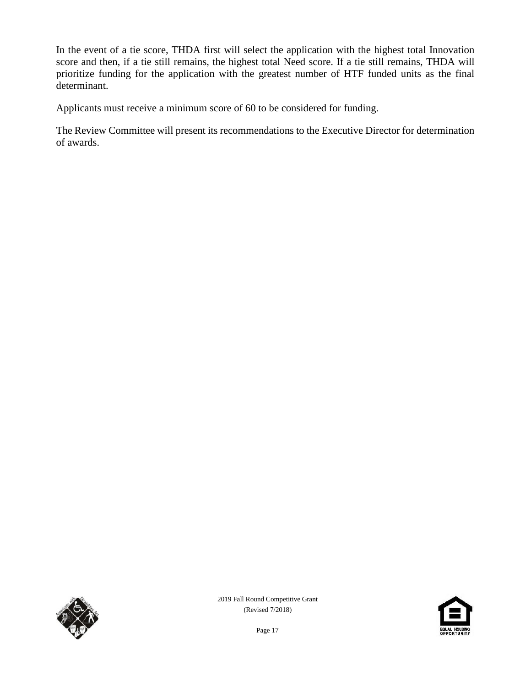In the event of a tie score, THDA first will select the application with the highest total Innovation score and then, if a tie still remains, the highest total Need score. If a tie still remains, THDA will prioritize funding for the application with the greatest number of HTF funded units as the final determinant.

Applicants must receive a minimum score of 60 to be considered for funding.

The Review Committee will present its recommendations to the Executive Director for determination of awards.



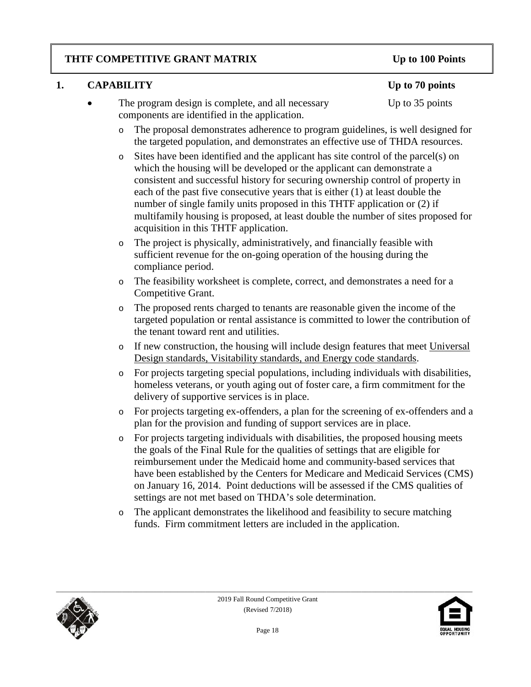### **THTF COMPETITIVE GRANT MATRIX Up to 100 Points**

### **1. CAPABILITY Up to 70 points**

- The program design is complete, and all necessary Up to 35 points components are identified in the application.
	- o The proposal demonstrates adherence to program guidelines, is well designed for the targeted population, and demonstrates an effective use of THDA resources.
	- o Sites have been identified and the applicant has site control of the parcel(s) on which the housing will be developed or the applicant can demonstrate a consistent and successful history for securing ownership control of property in each of the past five consecutive years that is either (1) at least double the number of single family units proposed in this THTF application or (2) if multifamily housing is proposed, at least double the number of sites proposed for acquisition in this THTF application.
	- o The project is physically, administratively, and financially feasible with sufficient revenue for the on-going operation of the housing during the compliance period.
	- o The feasibility worksheet is complete, correct, and demonstrates a need for a Competitive Grant.
	- o The proposed rents charged to tenants are reasonable given the income of the targeted population or rental assistance is committed to lower the contribution of the tenant toward rent and utilities.
	- o If new construction, the housing will include design features that meet Universal Design standards, Visitability standards, and Energy code standards.
	- o For projects targeting special populations, including individuals with disabilities, homeless veterans, or youth aging out of foster care, a firm commitment for the delivery of supportive services is in place.
	- o For projects targeting ex-offenders, a plan for the screening of ex-offenders and a plan for the provision and funding of support services are in place.
	- o For projects targeting individuals with disabilities, the proposed housing meets the goals of the Final Rule for the qualities of settings that are eligible for reimbursement under the Medicaid home and community-based services that have been established by the Centers for Medicare and Medicaid Services (CMS) on January 16, 2014. Point deductions will be assessed if the CMS qualities of settings are not met based on THDA's sole determination.
	- o The applicant demonstrates the likelihood and feasibility to secure matching funds. Firm commitment letters are included in the application.



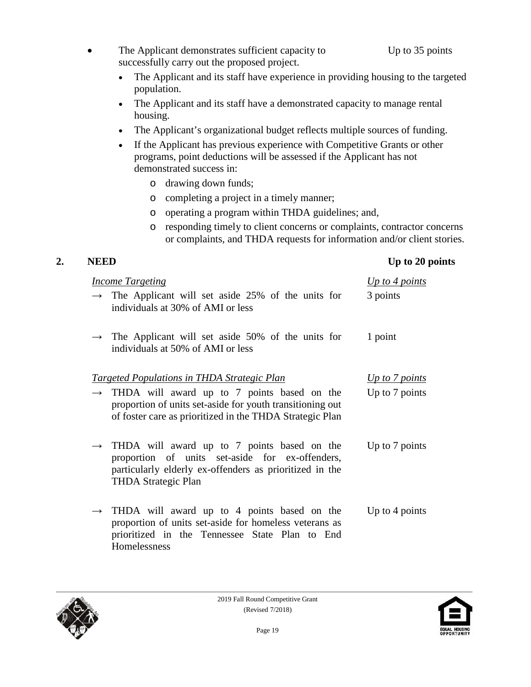- The Applicant demonstrates sufficient capacity to Up to 35 points successfully carry out the proposed project.
	- The Applicant and its staff have experience in providing housing to the targeted population.
	- The Applicant and its staff have a demonstrated capacity to manage rental housing.
	- The Applicant's organizational budget reflects multiple sources of funding.
	- If the Applicant has previous experience with Competitive Grants or other programs, point deductions will be assessed if the Applicant has not demonstrated success in:
		- o drawing down funds;
		- o completing a project in a timely manner;
		- o operating a program within THDA guidelines; and,
		- o responding timely to client concerns or complaints, contractor concerns or complaints, and THDA requests for information and/or client stories.

# **2. NEED Up to 20 points**

| <b>Income Targeting</b>                                                                                                                                                                        | Up to 4 points |
|------------------------------------------------------------------------------------------------------------------------------------------------------------------------------------------------|----------------|
| $\rightarrow$ The Applicant will set aside 25% of the units for<br>individuals at 30% of AMI or less                                                                                           | 3 points       |
| $\rightarrow$ The Applicant will set aside 50% of the units for<br>individuals at 50% of AMI or less                                                                                           | 1 point        |
| <u><b>Targeted Populations in THDA Strategic Plan</b></u>                                                                                                                                      | Up to 7 points |
| $\rightarrow$ THDA will award up to 7 points based on the<br>proportion of units set-aside for youth transitioning out<br>of foster care as prioritized in the THDA Strategic Plan             | Up to 7 points |
| $\rightarrow$ THDA will award up to 7 points based on the<br>proportion of units set-aside for ex-offenders,<br>particularly elderly ex-offenders as prioritized in the<br>THDA Strategic Plan | Up to 7 points |
| $\rightarrow$ THDA will award up to 4 points based on the<br>proportion of units set-aside for homeless veterans as<br>prioritized in the Tennessee State Plan to End<br>Homelessness          | Up to 4 points |